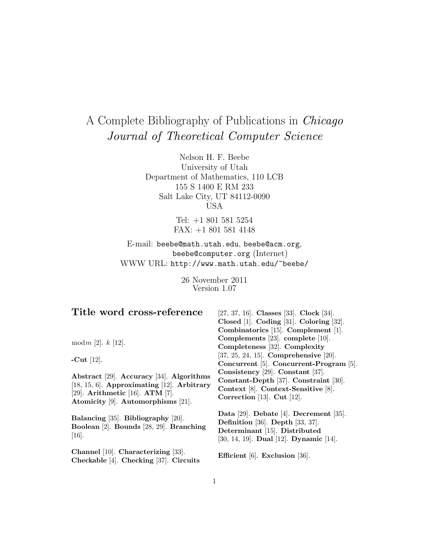# A Complete Bibliography of Publications in Chicago Journal of Theoretical Computer Science

Nelson H. F. Beebe University of Utah Department of Mathematics, 110 LCB 155 S 1400 E RM 233 Salt Lake City, UT 84112-0090 USA

> Tel: +1 801 581 5254 FAX: +1 801 581 4148

E-mail: beebe@math.utah.edu, beebe@acm.org, beebe@computer.org (Internet) WWW URL: http://www.math.utah.edu/~beebe/

> 26 November 2011 Version 1.07

| Title word cross-reference                                                                                                                                            | [27, 37, 16]. Classes [33]. Clock [34].<br>Closed [1]. Coding [31]. Coloring [32].<br>Combinatorics [15]. Complement [1].                             |
|-----------------------------------------------------------------------------------------------------------------------------------------------------------------------|-------------------------------------------------------------------------------------------------------------------------------------------------------|
| mod $m$ [2]. $k$ [12].                                                                                                                                                | Complements [23]. complete [10].<br>Completeness [32]. Complexity                                                                                     |
| -Cut $[12]$ .                                                                                                                                                         | $[37, 25, 24, 15]$ . Comprehensive $[20]$ .<br>Concurrent [5]. Concurrent-Program [5].                                                                |
| Abstract [29]. Accuracy [34]. Algorithms<br>[18, 15, 6]. Approximating [12]. Arbitrary<br>[29]. Arithmetic [16]. ATM [7].<br>Atomicity $[9]$ . Automorphisms $[21]$ . | Consistency $[29]$ . Constant $[37]$ .<br>Constant-Depth [37]. Constraint [30].<br>Context [8]. Context-Sensitive [8].<br>Correction [13]. Cut [12].  |
| Balancing [35]. Bibliography [20].<br>Boolean [2]. Bounds [28, 29]. Branching<br>$[16]$ .                                                                             | Data [29]. Debate [4]. Decrement [35].<br>Definition [36]. Depth [33, 37].<br>Determinant [15]. Distributed<br>[30, 14, 19]. Dual [12]. Dynamic [14]. |
| Channel [10]. Characterizing [33].<br>Checkable [4]. Checking [37]. Circuits                                                                                          | Efficient $[6]$ . Exclusion $[36]$ .                                                                                                                  |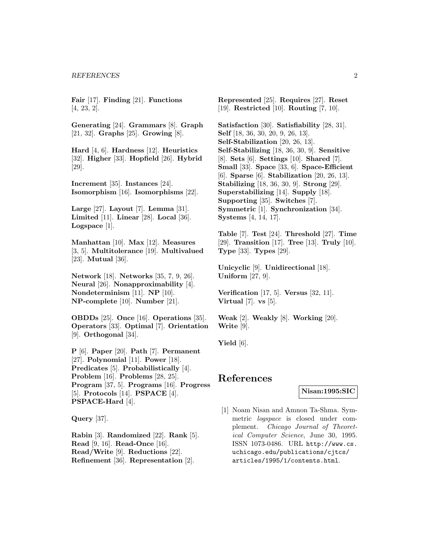**Fair** [17]. **Finding** [21]. **Functions** [4, 23, 2].

**Generating** [24]. **Grammars** [8]. **Graph** [21, 32]. **Graphs** [25]. **Growing** [8].

**Hard** [4, 6]. **Hardness** [12]. **Heuristics** [32]. **Higher** [33]. **Hopfield** [26]. **Hybrid** [29].

**Increment** [35]. **Instances** [24]. **Isomorphism** [16]. **Isomorphisms** [22].

**Large** [27]. **Layout** [7]. **Lemma** [31]. **Limited** [11]. **Linear** [28]. **Local** [36]. **Logspace** [1].

**Manhattan** [10]. **Max** [12]. **Measures** [3, 5]. **Multitolerance** [19]. **Multivalued** [23]. **Mutual** [36].

**Network** [18]. **Networks** [35, 7, 9, 26]. **Neural** [26]. **Nonapproximability** [4]. **Nondeterminism** [11]. **NP** [10]. **NP-complete** [10]. **Number** [21].

**OBDDs** [25]. **Once** [16]. **Operations** [35]. **Operators** [33]. **Optimal** [7]. **Orientation** [9]. **Orthogonal** [34].

**P** [6]. **Paper** [20]. **Path** [7]. **Permanent** [27]. **Polynomial** [11]. **Power** [18]. **Predicates** [5]. **Probabilistically** [4]. **Problem** [16]. **Problems** [28, 25]. **Program** [37, 5]. **Programs** [16]. **Progress** [5]. **Protocols** [14]. **PSPACE** [4]. **PSPACE-Hard** [4].

**Query** [37].

**Rabin** [3]. **Randomized** [22]. **Rank** [5]. **Read** [9, 16]. **Read-Once** [16]. **Read/Write** [9]. **Reductions** [22]. **Refinement** [36]. **Representation** [2].

**Represented** [25]. **Requires** [27]. **Reset** [19]. **Restricted** [10]. **Routing** [7, 10].

**Satisfaction** [30]. **Satisfiability** [28, 31]. **Self** [18, 36, 30, 20, 9, 26, 13]. **Self-Stabilization** [20, 26, 13]. **Self-Stabilizing** [18, 36, 30, 9]. **Sensitive** [8]. **Sets** [6]. **Settings** [10]. **Shared** [7]. **Small** [33]. **Space** [33, 6]. **Space-Efficient** [6]. **Sparse** [6]. **Stabilization** [20, 26, 13]. **Stabilizing** [18, 36, 30, 9]. **Strong** [29]. **Superstabilizing** [14]. **Supply** [18]. **Supporting** [35]. **Switches** [7]. **Symmetric** [1]. **Synchronization** [34]. **Systems** [4, 14, 17].

**Table** [7]. **Test** [24]. **Threshold** [27]. **Time** [29]. **Transition** [17]. **Tree** [13]. **Truly** [10]. **Type** [33]. **Types** [29].

**Unicyclic** [9]. **Unidirectional** [18]. **Uniform** [27, 9].

**Verification** [17, 5]. **Versus** [32, 11]. **Virtual** [7]. **vs** [5].

**Weak** [2]. **Weakly** [8]. **Working** [20]. **Write** [9].

**Yield** [6].

# **References**

## **Nisan:1995:SIC**

[1] Noam Nisan and Amnon Ta-Shma. Symmetric logspace is closed under complement. Chicago Journal of Theoretical Computer Science, June 30, 1995. ISSN 1073-0486. URL http://www.cs. uchicago.edu/publications/cjtcs/ articles/1995/1/contents.html.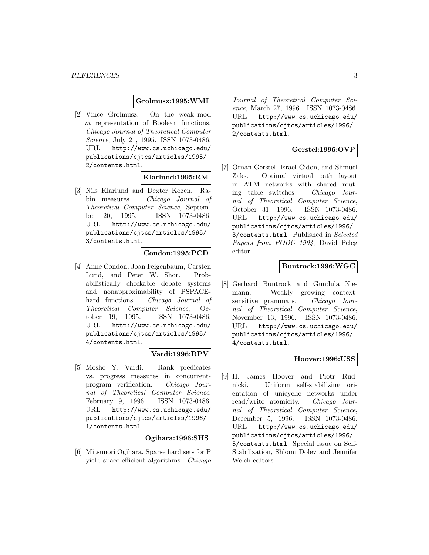#### **Grolmusz:1995:WMI**

[2] Vince Grolmusz. On the weak mod m representation of Boolean functions. Chicago Journal of Theoretical Computer Science, July 21, 1995. ISSN 1073-0486. URL http://www.cs.uchicago.edu/ publications/cjtcs/articles/1995/ 2/contents.html.

## **Klarlund:1995:RM**

[3] Nils Klarlund and Dexter Kozen. Rabin measures. Chicago Journal of Theoretical Computer Science, September 20, 1995. ISSN 1073-0486. URL http://www.cs.uchicago.edu/ publications/cjtcs/articles/1995/ 3/contents.html.

#### **Condon:1995:PCD**

[4] Anne Condon, Joan Feigenbaum, Carsten Lund, and Peter W. Shor. Probabilistically checkable debate systems and nonapproximability of PSPACEhard functions. Chicago Journal of Theoretical Computer Science, October 19, 1995. ISSN 1073-0486. URL http://www.cs.uchicago.edu/ publications/cjtcs/articles/1995/ 4/contents.html.

## **Vardi:1996:RPV**

[5] Moshe Y. Vardi. Rank predicates vs. progress measures in concurrentprogram verification. Chicago Journal of Theoretical Computer Science, February 9, 1996. ISSN 1073-0486. URL http://www.cs.uchicago.edu/ publications/cjtcs/articles/1996/ 1/contents.html.

#### **Ogihara:1996:SHS**

[6] Mitsunori Ogihara. Sparse hard sets for P yield space-efficient algorithms. Chicago

Journal of Theoretical Computer Science, March 27, 1996. ISSN 1073-0486. URL http://www.cs.uchicago.edu/ publications/cjtcs/articles/1996/ 2/contents.html.

# **Gerstel:1996:OVP**

[7] Ornan Gerstel, Israel Cidon, and Shmuel Zaks. Optimal virtual path layout in ATM networks with shared routing table switches. Chicago Journal of Theoretical Computer Science, October 31, 1996. ISSN 1073-0486. URL http://www.cs.uchicago.edu/ publications/cjtcs/articles/1996/ 3/contents.html. Published in Selected Papers from PODC 1994, David Peleg editor.

## **Buntrock:1996:WGC**

[8] Gerhard Buntrock and Gundula Niemann. Weakly growing contextsensitive grammars. Chicago Journal of Theoretical Computer Science, November 13, 1996. ISSN 1073-0486. URL http://www.cs.uchicago.edu/ publications/cjtcs/articles/1996/ 4/contents.html.

## **Hoover:1996:USS**

[9] H. James Hoover and Piotr Rudnicki. Uniform self-stabilizing orientation of unicyclic networks under read/write atomicity. Chicago Journal of Theoretical Computer Science, December 5, 1996. ISSN 1073-0486. URL http://www.cs.uchicago.edu/ publications/cjtcs/articles/1996/ 5/contents.html. Special Issue on Self-Stabilization, Shlomi Dolev and Jennifer Welch editors.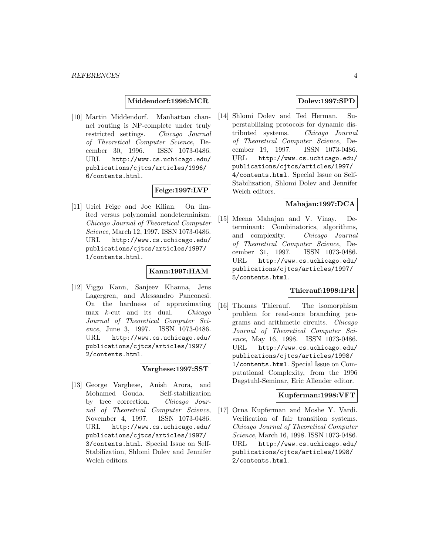#### **Middendorf:1996:MCR**

[10] Martin Middendorf. Manhattan channel routing is NP-complete under truly restricted settings. Chicago Journal of Theoretical Computer Science, December 30, 1996. ISSN 1073-0486. URL http://www.cs.uchicago.edu/ publications/cjtcs/articles/1996/ 6/contents.html.

# **Feige:1997:LVP**

[11] Uriel Feige and Joe Kilian. On limited versus polynomial nondeterminism. Chicago Journal of Theoretical Computer Science, March 12, 1997. ISSN 1073-0486. URL http://www.cs.uchicago.edu/ publications/cjtcs/articles/1997/ 1/contents.html.

## **Kann:1997:HAM**

[12] Viggo Kann, Sanjeev Khanna, Jens Lagergren, and Alessandro Panconesi. On the hardness of approximating  $\max$  *k*-cut and its dual. *Chicago* Journal of Theoretical Computer Science, June 3, 1997. ISSN 1073-0486. URL http://www.cs.uchicago.edu/ publications/cjtcs/articles/1997/ 2/contents.html.

## **Varghese:1997:SST**

[13] George Varghese, Anish Arora, and Mohamed Gouda. Self-stabilization by tree correction. Chicago Journal of Theoretical Computer Science, November 4, 1997. ISSN 1073-0486. URL http://www.cs.uchicago.edu/ publications/cjtcs/articles/1997/ 3/contents.html. Special Issue on Self-Stabilization, Shlomi Dolev and Jennifer Welch editors.

# **Dolev:1997:SPD**

[14] Shlomi Dolev and Ted Herman. Superstabilizing protocols for dynamic distributed systems. Chicago Journal of Theoretical Computer Science, December 19, 1997. ISSN 1073-0486. URL http://www.cs.uchicago.edu/ publications/cjtcs/articles/1997/ 4/contents.html. Special Issue on Self-Stabilization, Shlomi Dolev and Jennifer Welch editors.

## **Mahajan:1997:DCA**

[15] Meena Mahajan and V. Vinay. Determinant: Combinatorics, algorithms, and complexity. Chicago Journal of Theoretical Computer Science, December 31, 1997. ISSN 1073-0486. URL http://www.cs.uchicago.edu/ publications/cjtcs/articles/1997/ 5/contents.html.

## **Thierauf:1998:IPR**

[16] Thomas Thierauf. The isomorphism problem for read-once branching programs and arithmetic circuits. Chicago Journal of Theoretical Computer Science, May 16, 1998. ISSN 1073-0486. URL http://www.cs.uchicago.edu/ publications/cjtcs/articles/1998/ 1/contents.html. Special Issue on Computational Complexity, from the 1996 Dagstuhl-Seminar, Eric Allender editor.

## **Kupferman:1998:VFT**

[17] Orna Kupferman and Moshe Y. Vardi. Verification of fair transition systems. Chicago Journal of Theoretical Computer Science, March 16, 1998. ISSN 1073-0486. URL http://www.cs.uchicago.edu/ publications/cjtcs/articles/1998/ 2/contents.html.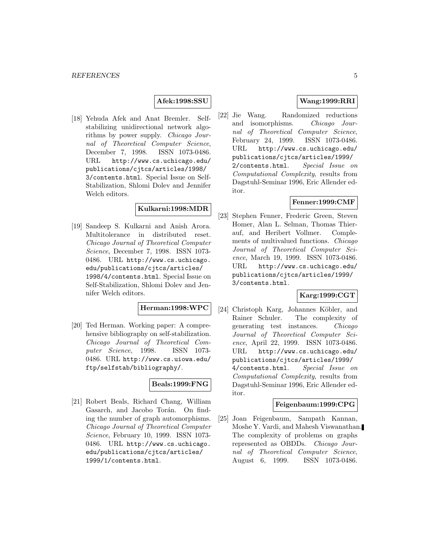#### **Afek:1998:SSU**

[18] Yehuda Afek and Anat Bremler. Selfstabilizing unidirectional network algorithms by power supply. Chicago Journal of Theoretical Computer Science, December 7, 1998. ISSN 1073-0486. URL http://www.cs.uchicago.edu/ publications/cjtcs/articles/1998/ 3/contents.html. Special Issue on Self-Stabilization, Shlomi Dolev and Jennifer Welch editors.

# **Kulkarni:1998:MDR**

[19] Sandeep S. Kulkarni and Anish Arora. Multitolerance in distributed reset. Chicago Journal of Theoretical Computer Science, December 7, 1998. ISSN 1073- 0486. URL http://www.cs.uchicago. edu/publications/cjtcs/articles/ 1998/4/contents.html. Special Issue on Self-Stabilization, Shlomi Dolev and Jennifer Welch editors.

# **Herman:1998:WPC**

[20] Ted Herman. Working paper: A comprehensive bibliography on self-stabilization. Chicago Journal of Theoretical Computer Science, 1998. ISSN 1073-0486. URL http://www.cs.uiowa.edu/ ftp/selfstab/bibliography/.

# **Beals:1999:FNG**

[21] Robert Beals, Richard Chang, William Gasarch, and Jacobo Torán. On finding the number of graph automorphisms. Chicago Journal of Theoretical Computer Science, February 10, 1999. ISSN 1073- 0486. URL http://www.cs.uchicago. edu/publications/cjtcs/articles/ 1999/1/contents.html.

# **Wang:1999:RRI**

[22] Jie Wang. Randomized reductions and isomorphisms. Chicago Journal of Theoretical Computer Science, February 24, 1999. ISSN 1073-0486. URL http://www.cs.uchicago.edu/ publications/cjtcs/articles/1999/ 2/contents.html. Special Issue on Computational Complexity, results from Dagstuhl-Seminar 1996, Eric Allender editor.

#### **Fenner:1999:CMF**

[23] Stephen Fenner, Frederic Green, Steven Homer, Alan L. Selman, Thomas Thierauf, and Heribert Vollmer. Complements of multivalued functions. Chicago Journal of Theoretical Computer Science, March 19, 1999. ISSN 1073-0486. URL http://www.cs.uchicago.edu/ publications/cjtcs/articles/1999/ 3/contents.html.

## **Karg:1999:CGT**

[24] Christoph Karg, Johannes Köbler, and Rainer Schuler. The complexity of generating test instances. Chicago Journal of Theoretical Computer Science, April 22, 1999. ISSN 1073-0486. URL http://www.cs.uchicago.edu/ publications/cjtcs/articles/1999/ 4/contents.html. Special Issue on Computational Complexity, results from Dagstuhl-Seminar 1996, Eric Allender editor.

#### **Feigenbaum:1999:CPG**

[25] Joan Feigenbaum, Sampath Kannan, Moshe Y. Vardi, and Mahesh Viswanathan. The complexity of problems on graphs represented as OBDDs. Chicago Journal of Theoretical Computer Science, August 6, 1999. ISSN 1073-0486.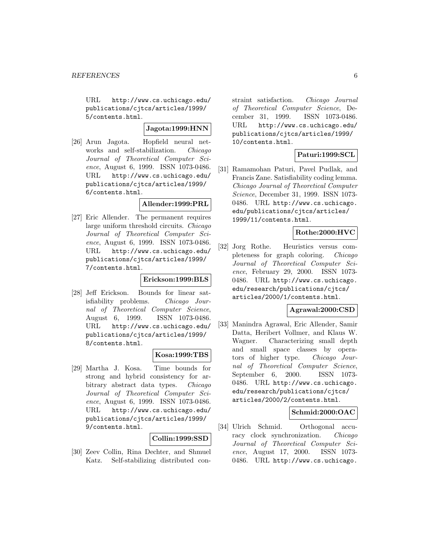URL http://www.cs.uchicago.edu/ publications/cjtcs/articles/1999/ 5/contents.html.

# **Jagota:1999:HNN**

[26] Arun Jagota. Hopfield neural networks and self-stabilization. Chicago Journal of Theoretical Computer Science, August 6, 1999. ISSN 1073-0486. URL http://www.cs.uchicago.edu/ publications/cjtcs/articles/1999/ 6/contents.html.

# **Allender:1999:PRL**

[27] Eric Allender. The permanent requires large uniform threshold circuits. Chicago Journal of Theoretical Computer Science, August 6, 1999. ISSN 1073-0486. URL http://www.cs.uchicago.edu/ publications/cjtcs/articles/1999/ 7/contents.html.

## **Erickson:1999:BLS**

[28] Jeff Erickson. Bounds for linear satisfiability problems. Chicago Journal of Theoretical Computer Science, August 6, 1999. ISSN 1073-0486. URL http://www.cs.uchicago.edu/ publications/cjtcs/articles/1999/ 8/contents.html.

## **Kosa:1999:TBS**

[29] Martha J. Kosa. Time bounds for strong and hybrid consistency for arbitrary abstract data types. Chicago Journal of Theoretical Computer Science, August 6, 1999. ISSN 1073-0486. URL http://www.cs.uchicago.edu/ publications/cjtcs/articles/1999/ 9/contents.html.

# **Collin:1999:SSD**

[30] Zeev Collin, Rina Dechter, and Shmuel Katz. Self-stabilizing distributed constraint satisfaction. Chicago Journal of Theoretical Computer Science, December 31, 1999. ISSN 1073-0486. URL http://www.cs.uchicago.edu/ publications/cjtcs/articles/1999/ 10/contents.html.

# **Paturi:1999:SCL**

[31] Ramamohan Paturi, Pavel Pudlak, and Francis Zane. Satisfiability coding lemma. Chicago Journal of Theoretical Computer Science, December 31, 1999. ISSN 1073- 0486. URL http://www.cs.uchicago. edu/publications/cjtcs/articles/ 1999/11/contents.html.

## **Rothe:2000:HVC**

[32] Jorg Rothe. Heuristics versus completeness for graph coloring. Chicago Journal of Theoretical Computer Science, February 29, 2000. ISSN 1073- 0486. URL http://www.cs.uchicago. edu/research/publications/cjtcs/ articles/2000/1/contents.html.

## **Agrawal:2000:CSD**

[33] Manindra Agrawal, Eric Allender, Samir Datta, Heribert Vollmer, and Klaus W. Wagner. Characterizing small depth and small space classes by operators of higher type. Chicago Journal of Theoretical Computer Science, September 6, 2000. ISSN 1073- 0486. URL http://www.cs.uchicago. edu/research/publications/cjtcs/ articles/2000/2/contents.html.

## **Schmid:2000:OAC**

[34] Ulrich Schmid. Orthogonal accuracy clock synchronization. Chicago Journal of Theoretical Computer Science, August 17, 2000. ISSN 1073- 0486. URL http://www.cs.uchicago.